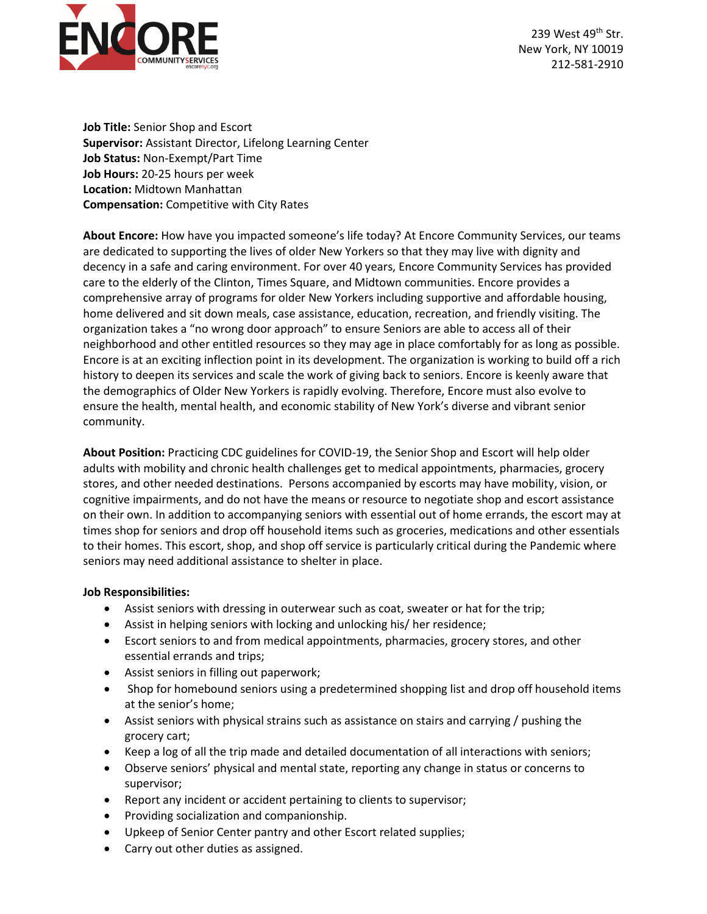

239 West 49<sup>th</sup> Str. New York, NY 10019 212-581-2910

**Job Title:** Senior Shop and Escort **Supervisor:** Assistant Director, Lifelong Learning Center **Job Status:** Non-Exempt/Part Time **Job Hours:** 20-25 hours per week **Location:** Midtown Manhattan **Compensation:** Competitive with City Rates

**About Encore:** How have you impacted someone's life today? At Encore Community Services, our teams are dedicated to supporting the lives of older New Yorkers so that they may live with dignity and decency in a safe and caring environment. For over 40 years, Encore Community Services has provided care to the elderly of the Clinton, Times Square, and Midtown communities. Encore provides a comprehensive array of programs for older New Yorkers including supportive and affordable housing, home delivered and sit down meals, case assistance, education, recreation, and friendly visiting. The organization takes a "no wrong door approach" to ensure Seniors are able to access all of their neighborhood and other entitled resources so they may age in place comfortably for as long as possible. Encore is at an exciting inflection point in its development. The organization is working to build off a rich history to deepen its services and scale the work of giving back to seniors. Encore is keenly aware that the demographics of Older New Yorkers is rapidly evolving. Therefore, Encore must also evolve to ensure the health, mental health, and economic stability of New York's diverse and vibrant senior community.

**About Position:** Practicing CDC guidelines for COVID-19, the Senior Shop and Escort will help older adults with mobility and chronic health challenges get to medical appointments, pharmacies, grocery stores, and other needed destinations. Persons accompanied by escorts may have mobility, vision, or cognitive impairments, and do not have the means or resource to negotiate shop and escort assistance on their own. In addition to accompanying seniors with essential out of home errands, the escort may at times shop for seniors and drop off household items such as groceries, medications and other essentials to their homes. This escort, shop, and shop off service is particularly critical during the Pandemic where seniors may need additional assistance to shelter in place.

## **Job Responsibilities:**

- Assist seniors with dressing in outerwear such as coat, sweater or hat for the trip;
- Assist in helping seniors with locking and unlocking his/ her residence;
- Escort seniors to and from medical appointments, pharmacies, grocery stores, and other essential errands and trips;
- Assist seniors in filling out paperwork;
- Shop for homebound seniors using a predetermined shopping list and drop off household items at the senior's home;
- Assist seniors with physical strains such as assistance on stairs and carrying / pushing the grocery cart;
- Keep a log of all the trip made and detailed documentation of all interactions with seniors;
- Observe seniors' physical and mental state, reporting any change in status or concerns to supervisor;
- Report any incident or accident pertaining to clients to supervisor;
- Providing socialization and companionship.
- Upkeep of Senior Center pantry and other Escort related supplies;
- Carry out other duties as assigned.